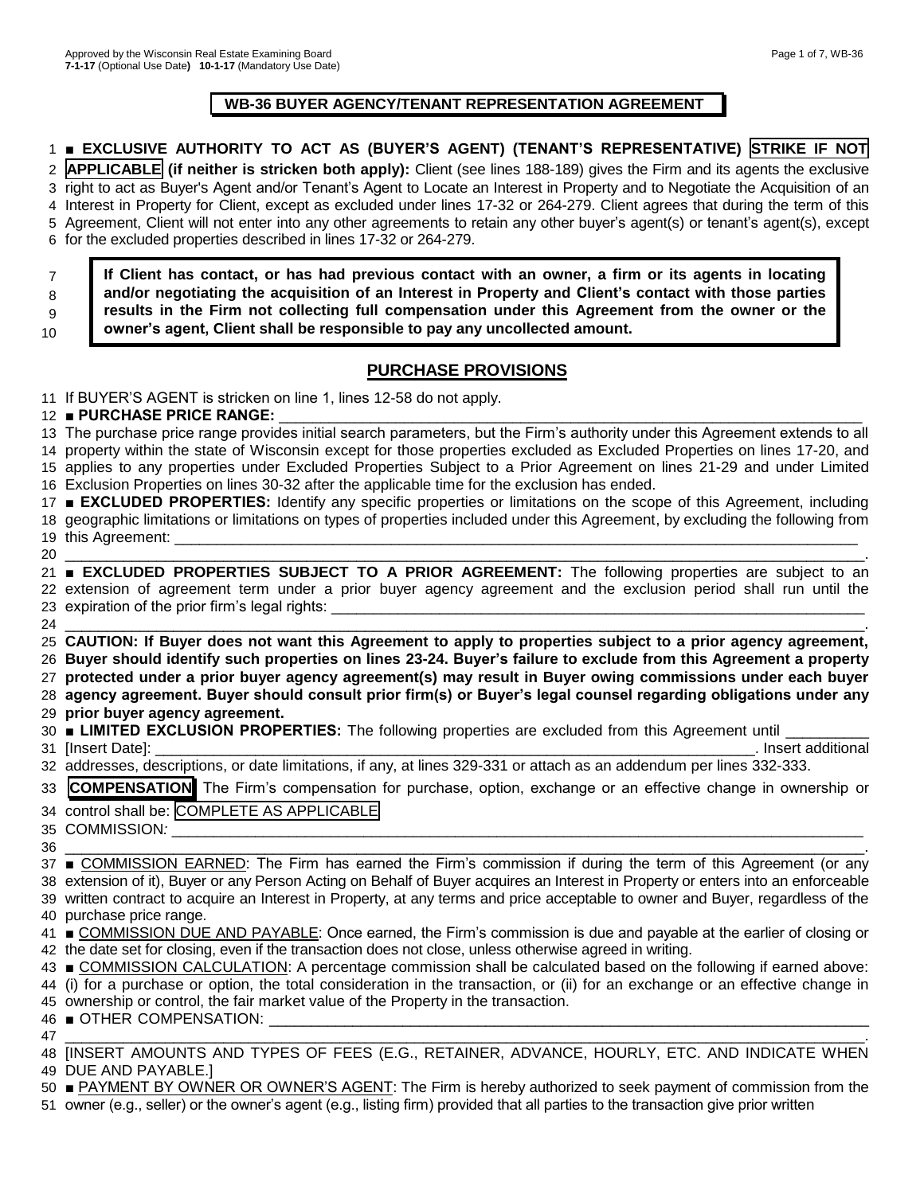## **WB-36 BUYER AGENCY/TENANT REPRESENTATION AGREEMENT**

# ■ **EXCLUSIVE AUTHORITY TO ACT AS (BUYER'S AGENT) (TENANT'S REPRESENTATIVE) STRIKE IF NOT**

 **APPLICABLE (if neither is stricken both apply):** Client (see lines 188-189) gives the Firm and its agents the exclusive right to act as Buyer's Agent and/or Tenant's Agent to Locate an Interest in Property and to Negotiate the Acquisition of an Interest in Property for Client, except as excluded under lines 17-32 or 264-279. Client agrees that during the term of this Agreement, Client will not enter into any other agreements to retain any other buyer's agent(s) or tenant's agent(s), except for the excluded properties described in lines 17-32 or 264-279.

**If Client has contact, or has had previous contact with an owner, a firm or its agents in locating and/or negotiating the acquisition of an Interest in Property and Client's contact with those parties results in the Firm not collecting full compensation under this Agreement from the owner or the** 

#### 

 

**owner's agent, Client shall be responsible to pay any uncollected amount.**

# **PURCHASE PROVISIONS**

If BUYER'S AGENT is stricken on line 1, lines 12-58 do not apply.

## **■ PURCHASE PRICE RANGE:**

 The purchase price range provides initial search parameters, but the Firm's authority under this Agreement extends to all property within the state of Wisconsin except for those properties excluded as Excluded Properties on lines 17-20, and applies to any properties under Excluded Properties Subject to a Prior Agreement on lines 21-29 and under Limited Exclusion Properties on lines 30-32 after the applicable time for the exclusion has ended. **■ EXCLUDED PROPERTIES:** Identify any specific properties or limitations on the scope of this Agreement, including geographic limitations or limitations on types of properties included under this Agreement, by excluding the following from 19 this Agreement: \_ \_\_\_\_\_\_\_\_\_\_\_\_\_\_\_\_\_\_\_\_\_\_\_\_\_\_\_\_\_\_\_\_\_\_\_\_\_\_\_\_\_\_\_\_\_\_\_\_\_\_\_\_\_\_\_\_\_\_\_\_\_\_\_\_\_\_\_\_\_\_\_\_\_\_\_\_\_\_\_\_\_\_\_\_\_\_\_\_\_\_\_\_\_\_\_\_. **■ EXCLUDED PROPERTIES SUBJECT TO A PRIOR AGREEMENT:** The following properties are subject to an extension of agreement term under a prior buyer agency agreement and the exclusion period shall run until the 23 expiration of the prior firm's legal rights: \_\_\_\_\_\_\_\_\_\_\_\_\_\_\_\_\_\_\_\_\_\_\_\_\_\_\_\_\_\_\_\_\_\_\_\_\_\_\_\_\_\_\_\_\_\_\_\_\_\_\_\_\_\_\_\_\_\_\_\_\_\_\_\_\_\_\_\_\_\_\_\_\_\_\_\_\_\_\_\_\_\_\_\_\_\_\_\_\_\_\_\_\_\_\_\_.

 **CAUTION: If Buyer does not want this Agreement to apply to properties subject to a prior agency agreement, Buyer should identify such properties on lines 23-24. Buyer's failure to exclude from this Agreement a property protected under a prior buyer agency agreement(s) may result in Buyer owing commissions under each buyer agency agreement. Buyer should consult prior firm(s) or Buyer's legal counsel regarding obligations under any prior buyer agency agreement.**

| 30 <b>ELIMITED EXCLUSION PROPERTIES:</b> The following properties are excluded from this Agreement until _ |  |
|------------------------------------------------------------------------------------------------------------|--|
|------------------------------------------------------------------------------------------------------------|--|

[Insert Date]: \_\_\_\_\_\_\_\_\_\_\_\_\_\_\_\_\_\_\_\_\_\_\_\_\_\_\_\_\_\_\_\_\_\_\_\_\_\_\_\_\_\_\_\_\_\_\_\_\_\_\_\_\_\_\_\_\_\_\_\_\_\_\_\_\_\_\_\_\_\_\_\_. Insert additional

|  |  |  | 32 addresses, descriptions, or date limitations, if any, at lines 329-331 or attach as an addendum per lines 332-333. |  |
|--|--|--|-----------------------------------------------------------------------------------------------------------------------|--|
|  |  |  |                                                                                                                       |  |

| 33 COMPENSATION The Firm's compensation for purchase, option, exchange or an effective change in ownership or |  |  |  |  |  |  |  |
|---------------------------------------------------------------------------------------------------------------|--|--|--|--|--|--|--|
| 34 control shall be: COMPLETE AS APPLICARLE                                                                   |  |  |  |  |  |  |  |

34 control shall be: COMPLETE AS APPLICABLE COMMISSION*:* \_\_\_\_\_\_\_\_\_\_\_\_\_\_\_\_\_\_\_\_\_\_\_\_\_\_\_\_\_\_\_\_\_\_\_\_\_\_\_\_\_\_\_\_\_\_\_\_\_\_\_\_\_\_\_\_\_\_\_\_\_\_\_\_\_\_\_\_\_\_\_\_\_\_\_\_\_\_\_\_\_\_\_

| 36 |                                                                                                                                   |
|----|-----------------------------------------------------------------------------------------------------------------------------------|
|    | 37 ■ COMMISSION EARNED: The Firm has earned the Firm's commission if during the term of this Agreement (or any                    |
|    | 38 extension of it), Buyer or any Person Acting on Behalf of Buyer acquires an Interest in Property or enters into an enforceable |
|    | 39 written contract to acquire an Interest in Property, at any terms and price acceptable to owner and Buyer, regardless of the   |
|    | 40 purchase price range.                                                                                                          |

|  | 41 COMMISSION DUE AND PAYABLE: Once earned, the Firm's commission is due and payable at the earlier of closing or |
|--|-------------------------------------------------------------------------------------------------------------------|
|  | 42 the date set for closing, even if the transaction does not close, unless otherwise agreed in writing.          |

 ■ COMMISSION CALCULATION: A percentage commission shall be calculated based on the following if earned above: (i) for a purchase or option, the total consideration in the transaction, or (ii) for an exchange or an effective change in ownership or control, the fair market value of the Property in the transaction.

46 OTHER COMPENSATION:

 \_\_\_\_\_\_\_\_\_\_\_\_\_\_\_\_\_\_\_\_\_\_\_\_\_\_\_\_\_\_\_\_\_\_\_\_\_\_\_\_\_\_\_\_\_\_\_\_\_\_\_\_\_\_\_\_\_\_\_\_\_\_\_\_\_\_\_\_\_\_\_\_\_\_\_\_\_\_\_\_\_\_\_\_\_\_\_\_\_\_\_\_\_\_\_\_. [INSERT AMOUNTS AND TYPES OF FEES (E.G., RETAINER, ADVANCE, HOURLY, ETC. AND INDICATE WHEN DUE AND PAYABLE.]

 ■ PAYMENT BY OWNER OR OWNER'S AGENT: The Firm is hereby authorized to seek payment of commission from the owner (e.g., seller) or the owner's agent (e.g., listing firm) provided that all parties to the transaction give prior written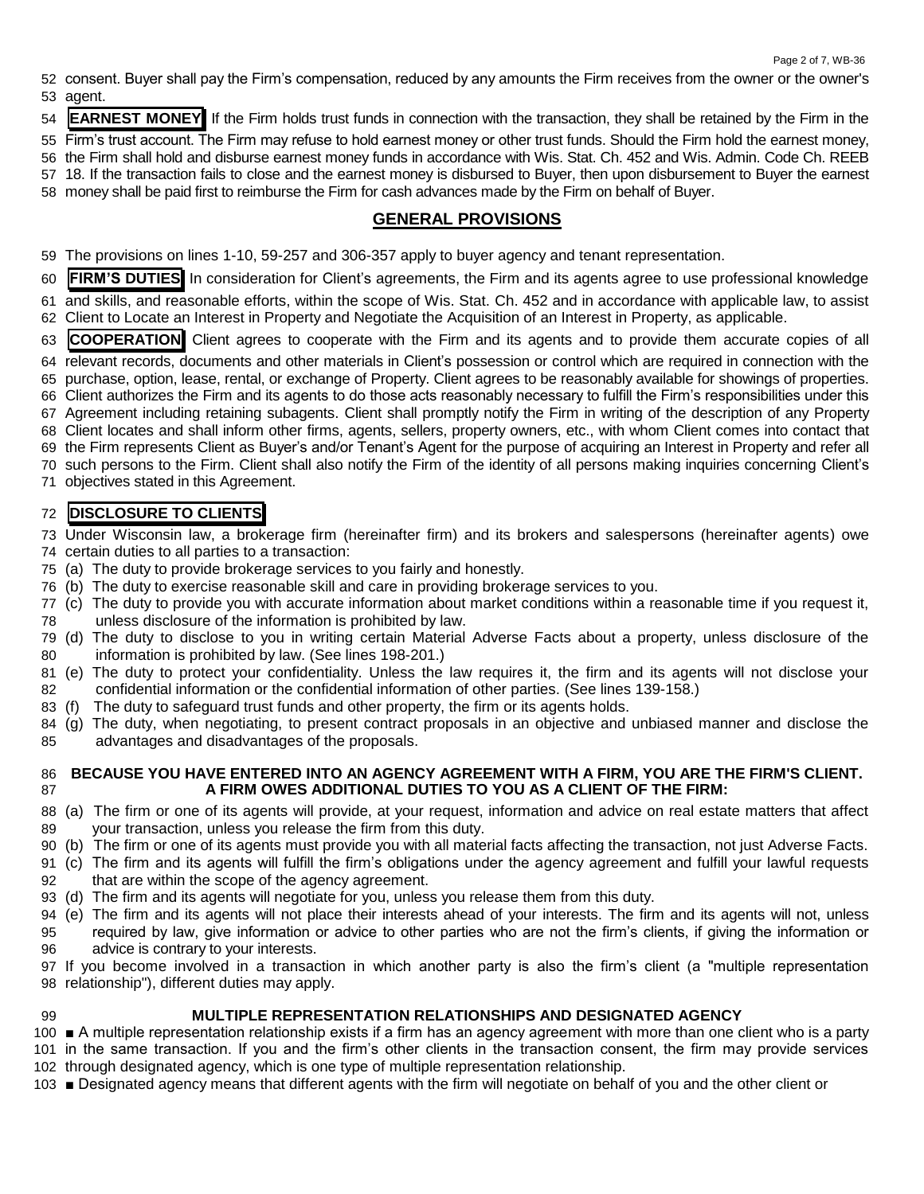consent. Buyer shall pay the Firm's compensation, reduced by any amounts the Firm receives from the owner or the owner's agent.

**EARNEST MONEY** If the Firm holds trust funds in connection with the transaction, they shall be retained by the Firm in the

Firm's trust account. The Firm may refuse to hold earnest money or other trust funds. Should the Firm hold the earnest money,

the Firm shall hold and disburse earnest money funds in accordance with Wis. Stat. Ch. 452 and Wis. Admin. Code Ch. REEB

- 18. If the transaction fails to close and the earnest money is disbursed to Buyer, then upon disbursement to Buyer the earnest
- money shall be paid first to reimburse the Firm for cash advances made by the Firm on behalf of Buyer.

# **GENERAL PROVISIONS**

The provisions on lines 1-10, 59-257 and 306-357 apply to buyer agency and tenant representation.

 **FIRM'S DUTIES** In consideration for Client's agreements, the Firm and its agents agree to use professional knowledge and skills, and reasonable efforts, within the scope of Wis. Stat. Ch. 452 and in accordance with applicable law, to assist Client to Locate an Interest in Property and Negotiate the Acquisition of an Interest in Property, as applicable.

**COOPERATION** Client agrees to cooperate with the Firm and its agents and to provide them accurate copies of all

relevant records, documents and other materials in Client's possession or control which are required in connection with the

purchase, option, lease, rental, or exchange of Property. Client agrees to be reasonably available for showings of properties.

 Client authorizes the Firm and its agents to do those acts reasonably necessary to fulfill the Firm's responsibilities under this Agreement including retaining subagents. Client shall promptly notify the Firm in writing of the description of any Property

Client locates and shall inform other firms, agents, sellers, property owners, etc., with whom Client comes into contact that

the Firm represents Client as Buyer's and/or Tenant's Agent for the purpose of acquiring an Interest in Property and refer all

such persons to the Firm. Client shall also notify the Firm of the identity of all persons making inquiries concerning Client's

objectives stated in this Agreement.

# **DISCLOSURE TO CLIENTS**

 Under Wisconsin law, a brokerage firm (hereinafter firm) and its brokers and salespersons (hereinafter agents) owe certain duties to all parties to a transaction:

- (a) The duty to provide brokerage services to you fairly and honestly.
- (b) The duty to exercise reasonable skill and care in providing brokerage services to you.
- (c) The duty to provide you with accurate information about market conditions within a reasonable time if you request it, unless disclosure of the information is prohibited by law.
- (d) The duty to disclose to you in writing certain Material Adverse Facts about a property, unless disclosure of the information is prohibited by law. (See lines 198-201.)
- (e) The duty to protect your confidentiality. Unless the law requires it, the firm and its agents will not disclose your confidential information or the confidential information of other parties. (See lines 139-158.)
- (f) The duty to safeguard trust funds and other property, the firm or its agents holds.
- (g) The duty, when negotiating, to present contract proposals in an objective and unbiased manner and disclose the advantages and disadvantages of the proposals.

## **BECAUSE YOU HAVE ENTERED INTO AN AGENCY AGREEMENT WITH A FIRM, YOU ARE THE FIRM'S CLIENT. A FIRM OWES ADDITIONAL DUTIES TO YOU AS A CLIENT OF THE FIRM:**

- (a) The firm or one of its agents will provide, at your request, information and advice on real estate matters that affect your transaction, unless you release the firm from this duty.
- (b) The firm or one of its agents must provide you with all material facts affecting the transaction, not just Adverse Facts.
- (c) The firm and its agents will fulfill the firm's obligations under the agency agreement and fulfill your lawful requests that are within the scope of the agency agreement.
- (d) The firm and its agents will negotiate for you, unless you release them from this duty.
- (e) The firm and its agents will not place their interests ahead of your interests. The firm and its agents will not, unless required by law, give information or advice to other parties who are not the firm's clients, if giving the information or advice is contrary to your interests.

 If you become involved in a transaction in which another party is also the firm's client (a "multiple representation relationship"), different duties may apply.

## **MULTIPLE REPRESENTATION RELATIONSHIPS AND DESIGNATED AGENCY**

 ■ A multiple representation relationship exists if a firm has an agency agreement with more than one client who is a party in the same transaction. If you and the firm's other clients in the transaction consent, the firm may provide services through designated agency, which is one type of multiple representation relationship.

■ Designated agency means that different agents with the firm will negotiate on behalf of you and the other client or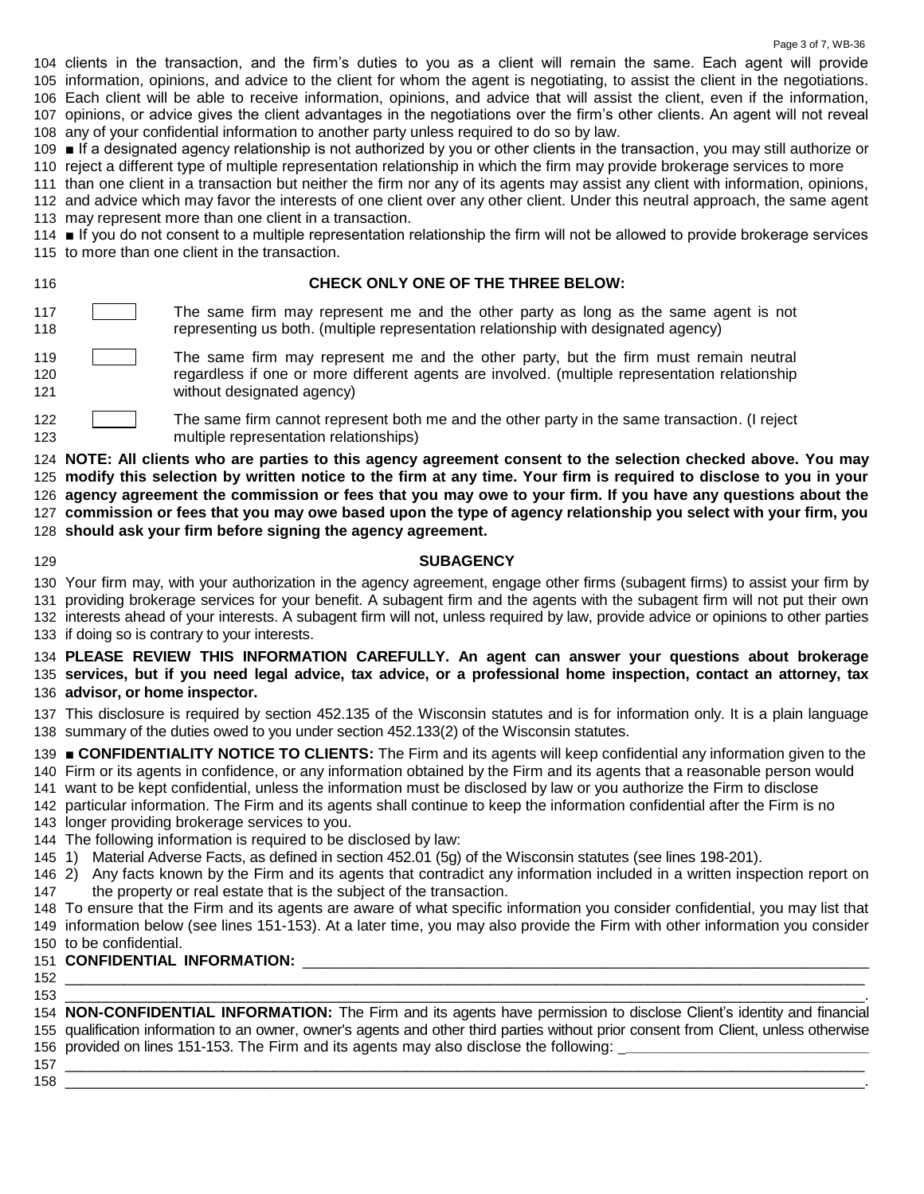clients in the transaction, and the firm's duties to you as a client will remain the same. Each agent will provide information, opinions, and advice to the client for whom the agent is negotiating, to assist the client in the negotiations. Each client will be able to receive information, opinions, and advice that will assist the client, even if the information, opinions, or advice gives the client advantages in the negotiations over the firm's other clients. An agent will not reveal any of your confidential information to another party unless required to do so by law.

 ■ If a designated agency relationship is not authorized by you or other clients in the transaction, you may still authorize or reject a different type of multiple representation relationship in which the firm may provide brokerage services to more

 than one client in a transaction but neither the firm nor any of its agents may assist any client with information, opinions, and advice which may favor the interests of one client over any other client. Under this neutral approach, the same agent may represent more than one client in a transaction.

 ■ If you do not consent to a multiple representation relationship the firm will not be allowed to provide brokerage services to more than one client in the transaction.

### **CHECK ONLY ONE OF THE THREE BELOW:**

- **The same firm may represent me and the other party as long as the same agent is not** representing us both. (multiple representation relationship with designated agency)
- 119 The same firm may represent me and the other party, but the firm must remain neutral regardless if one or more different agents are involved. (multiple representation relationship without designated agency)
- **The same firm cannot represent both me and the other party in the same transaction.** (I reject multiple representation relationships)

 **NOTE: All clients who are parties to this agency agreement consent to the selection checked above. You may modify this selection by written notice to the firm at any time. Your firm is required to disclose to you in your agency agreement the commission or fees that you may owe to your firm. If you have any questions about the commission or fees that you may owe based upon the type of agency relationship you select with your firm, you** 

**should ask your firm before signing the agency agreement.**

## **SUBAGENCY**

Your firm may, with your authorization in the agency agreement, engage other firms (subagent firms) to assist your firm by

providing brokerage services for your benefit. A subagent firm and the agents with the subagent firm will not put their own

 interests ahead of your interests. A subagent firm will not, unless required by law, provide advice or opinions to other parties if doing so is contrary to your interests.

 **PLEASE REVIEW THIS INFORMATION CAREFULLY. An agent can answer your questions about brokerage services, but if you need legal advice, tax advice, or a professional home inspection, contact an attorney, tax advisor, or home inspector.** 

 This disclosure is required by section 452.135 of the Wisconsin statutes and is for information only. It is a plain language summary of the duties owed to you under section 452.133(2) of the Wisconsin statutes.

 ■ **CONFIDENTIALITY NOTICE TO CLIENTS:** The Firm and its agents will keep confidential any information given to the Firm or its agents in confidence, or any information obtained by the Firm and its agents that a reasonable person would

 want to be kept confidential, unless the information must be disclosed by law or you authorize the Firm to disclose particular information. The Firm and its agents shall continue to keep the information confidential after the Firm is no

longer providing brokerage services to you.

The following information is required to be disclosed by law:

1) Material Adverse Facts, as defined in section 452.01 (5g) of the Wisconsin statutes (see lines 198-201).

 2) Any facts known by the Firm and its agents that contradict any information included in a written inspection report on 147 the property or real estate that is the subject of the transaction.

 To ensure that the Firm and its agents are aware of what specific information you consider confidential, you may list that information below (see lines 151-153). At a later time, you may also provide the Firm with other information you consider to be confidential.

## **CONFIDENTIAL INFORMATION:** \_\_\_\_\_\_\_\_\_\_\_\_\_\_\_\_\_\_\_\_\_\_\_\_\_\_\_\_\_\_\_\_\_\_\_\_\_\_\_\_\_\_\_\_\_\_\_\_\_\_\_\_\_\_\_\_\_\_\_\_\_\_\_\_\_\_\_\_

#### \_\_\_\_\_\_\_\_\_\_\_\_\_\_\_\_\_\_\_\_\_\_\_\_\_\_\_\_\_\_\_\_\_\_\_\_\_\_\_\_\_\_\_\_\_\_\_\_\_\_\_\_\_\_\_\_\_\_\_\_\_\_\_\_\_\_\_\_\_\_\_\_\_\_\_\_\_\_\_\_\_\_\_\_\_\_\_\_\_\_\_\_\_\_\_\_ \_\_\_\_\_\_\_\_\_\_\_\_\_\_\_\_\_\_\_\_\_\_\_\_\_\_\_\_\_\_\_\_\_\_\_\_\_\_\_\_\_\_\_\_\_\_\_\_\_\_\_\_\_\_\_\_\_\_\_\_\_\_\_\_\_\_\_\_\_\_\_\_\_\_\_\_\_\_\_\_\_\_\_\_\_\_\_\_\_\_\_\_\_\_\_\_.

 **NON-CONFIDENTIAL INFORMATION:** The Firm and its agents have permission to disclose Client's identity and financial qualification information to an owner, owner's agents and other third parties without prior consent from Client, unless otherwise provided on lines 151-153. The Firm and its agents may also disclose the following: \_**\_\_\_\_\_\_\_\_\_\_\_\_\_\_\_\_\_\_\_\_\_\_\_\_\_\_\_\_\_\_\_\_**

 \_\_\_\_\_\_\_\_\_\_\_\_\_\_\_\_\_\_\_\_\_\_\_\_\_\_\_\_\_\_\_\_\_\_\_\_\_\_\_\_\_\_\_\_\_\_\_\_\_\_\_\_\_\_\_\_\_\_\_\_\_\_\_\_\_\_\_\_\_\_\_\_\_\_\_\_\_\_\_\_\_\_\_\_\_\_\_\_\_\_\_\_\_\_\_\_ \_\_\_\_\_\_\_\_\_\_\_\_\_\_\_\_\_\_\_\_\_\_\_\_\_\_\_\_\_\_\_\_\_\_\_\_\_\_\_\_\_\_\_\_\_\_\_\_\_\_\_\_\_\_\_\_\_\_\_\_\_\_\_\_\_\_\_\_\_\_\_\_\_\_\_\_\_\_\_\_\_\_\_\_\_\_\_\_\_\_\_\_\_\_\_\_.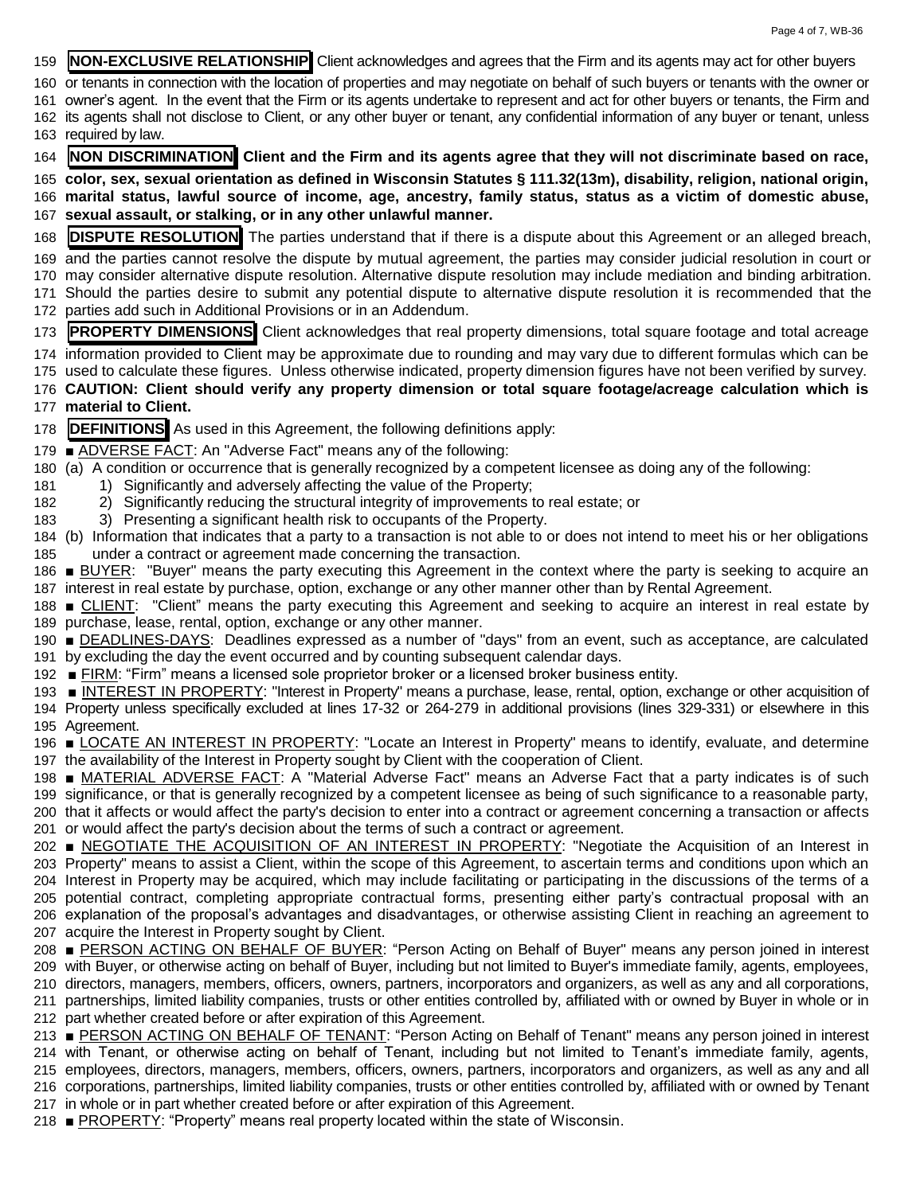- **NON-EXCLUSIVE RELATIONSHIP** Client acknowledges and agrees that the Firm and its agents may act for other buyers
- or tenants in connection with the location of properties and may negotiate on behalf of such buyers or tenants with the owner or
- owner's agent. In the event that the Firm or its agents undertake to represent and act for other buyers or tenants, the Firm and its agents shall not disclose to Client, or any other buyer or tenant, any confidential information of any buyer or tenant, unless
- required by law.
- **NON DISCRIMINATION Client and the Firm and its agents agree that they will not discriminate based on race,**
- **color, sex, sexual orientation as defined in Wisconsin Statutes § 111.32(13m), disability, religion, national origin, marital status, lawful source of income, age, ancestry, family status, status as a victim of domestic abuse,**
- **sexual assault, or stalking, or in any other unlawful manner.**
- **DISPUTE RESOLUTION** The parties understand that if there is a dispute about this Agreement or an alleged breach,
- and the parties cannot resolve the dispute by mutual agreement, the parties may consider judicial resolution in court or
- may consider alternative dispute resolution. Alternative dispute resolution may include mediation and binding arbitration.
- Should the parties desire to submit any potential dispute to alternative dispute resolution it is recommended that the parties add such in Additional Provisions or in an Addendum.
- **PROPERTY DIMENSIONS** Client acknowledges that real property dimensions, total square footage and total acreage
- information provided to Client may be approximate due to rounding and may vary due to different formulas which can be used to calculate these figures. Unless otherwise indicated, property dimension figures have not been verified by survey.
- **CAUTION: Client should verify any property dimension or total square footage/acreage calculation which is material to Client.**
- **DEFINITIONS** As used in this Agreement, the following definitions apply:
- ADVERSE FACT: An "Adverse Fact" means any of the following:
- (a) A condition or occurrence that is generally recognized by a competent licensee as doing any of the following:
- 1) Significantly and adversely affecting the value of the Property;
- 2) Significantly reducing the structural integrity of improvements to real estate; or
- 3) Presenting a significant health risk to occupants of the Property.
- (b) Information that indicates that a party to a transaction is not able to or does not intend to meet his or her obligations under a contract or agreement made concerning the transaction.
- 186 BUYER: "Buyer" means the party executing this Agreement in the context where the party is seeking to acquire an interest in real estate by purchase, option, exchange or any other manner other than by Rental Agreement.
- 188 CLIENT: "Client" means the party executing this Agreement and seeking to acquire an interest in real estate by purchase, lease, rental, option, exchange or any other manner.
- DEADLINES-DAYS: Deadlines expressed as a number of "days" from an event, such as acceptance, are calculated by excluding the day the event occurred and by counting subsequent calendar days.
- FIRM: "Firm" means a licensed sole proprietor broker or a licensed broker business entity.
- INTEREST IN PROPERTY: "Interest in Property" means a purchase, lease, rental, option, exchange or other acquisition of Property unless specifically excluded at lines 17-32 or 264-279 in additional provisions (lines 329-331) or elsewhere in this Agreement.
- LOCATE AN INTEREST IN PROPERTY: "Locate an Interest in Property" means to identify, evaluate, and determine the availability of the Interest in Property sought by Client with the cooperation of Client.
- MATERIAL ADVERSE FACT: A "Material Adverse Fact" means an Adverse Fact that a party indicates is of such significance, or that is generally recognized by a competent licensee as being of such significance to a reasonable party, that it affects or would affect the party's decision to enter into a contract or agreement concerning a transaction or affects or would affect the party's decision about the terms of such a contract or agreement.
- NEGOTIATE THE ACQUISITION OF AN INTEREST IN PROPERTY: "Negotiate the Acquisition of an Interest in Property" means to assist a Client, within the scope of this Agreement, to ascertain terms and conditions upon which an Interest in Property may be acquired, which may include facilitating or participating in the discussions of the terms of a potential contract, completing appropriate contractual forms, presenting either party's contractual proposal with an explanation of the proposal's advantages and disadvantages, or otherwise assisting Client in reaching an agreement to acquire the Interest in Property sought by Client.
- 208 PERSON ACTING ON BEHALF OF BUYER: "Person Acting on Behalf of Buyer" means any person joined in interest with Buyer, or otherwise acting on behalf of Buyer, including but not limited to Buyer's immediate family, agents, employees, directors, managers, members, officers, owners, partners, incorporators and organizers, as well as any and all corporations, partnerships, limited liability companies, trusts or other entities controlled by, affiliated with or owned by Buyer in whole or in part whether created before or after expiration of this Agreement.
- 213 PERSON ACTING ON BEHALF OF TENANT: "Person Acting on Behalf of Tenant" means any person joined in interest with Tenant, or otherwise acting on behalf of Tenant, including but not limited to Tenant's immediate family, agents, employees, directors, managers, members, officers, owners, partners, incorporators and organizers, as well as any and all corporations, partnerships, limited liability companies, trusts or other entities controlled by, affiliated with or owned by Tenant in whole or in part whether created before or after expiration of this Agreement.
- PROPERTY: "Property" means real property located within the state of Wisconsin.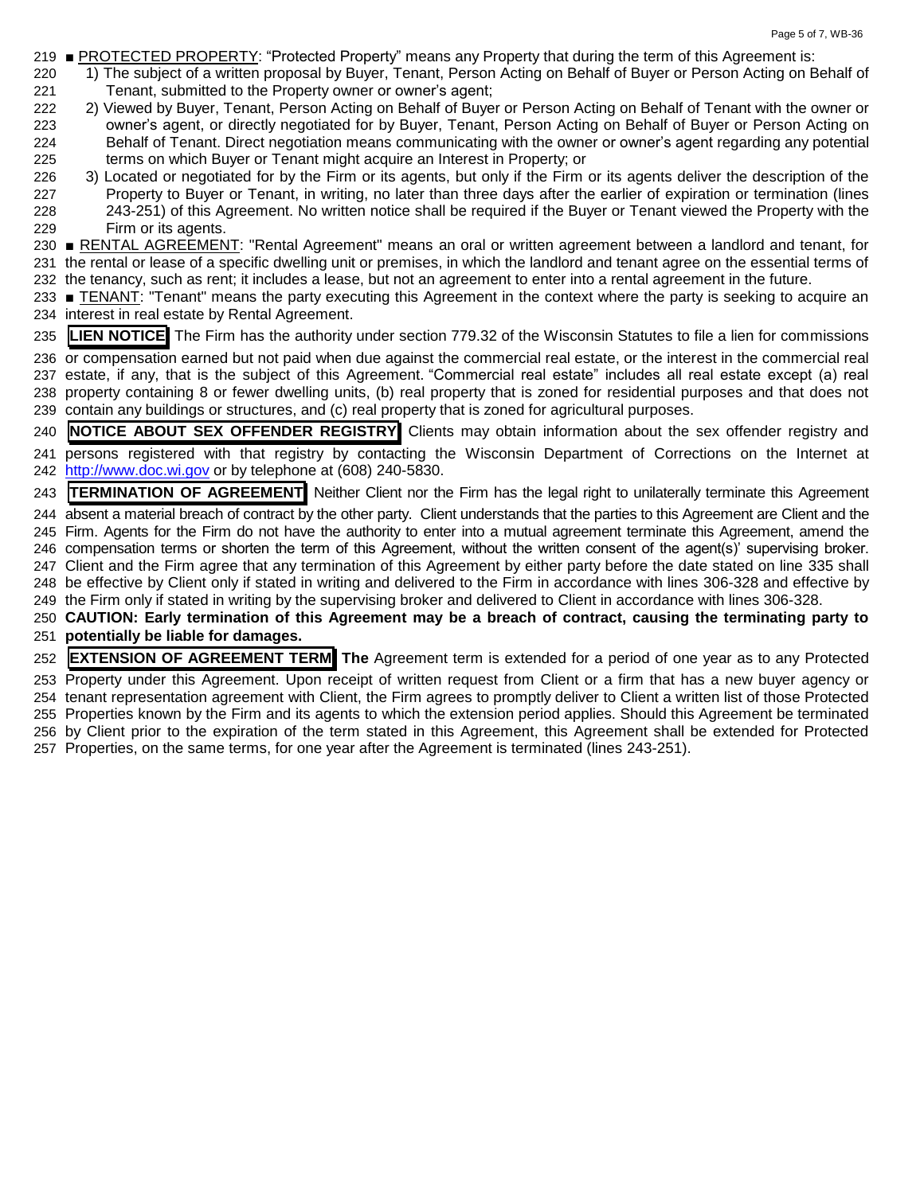- PROTECTED PROPERTY: "Protected Property" means any Property that during the term of this Agreement is:
- 1) The subject of a written proposal by Buyer, Tenant, Person Acting on Behalf of Buyer or Person Acting on Behalf of Tenant, submitted to the Property owner or owner's agent;
- 222 2) Viewed by Buyer, Tenant, Person Acting on Behalf of Buyer or Person Acting on Behalf of Tenant with the owner or owner's agent, or directly negotiated for by Buyer, Tenant, Person Acting on Behalf of Buyer or Person Acting on Behalf of Tenant. Direct negotiation means communicating with the owner or owner's agent regarding any potential terms on which Buyer or Tenant might acquire an Interest in Property; or
- 3) Located or negotiated for by the Firm or its agents, but only if the Firm or its agents deliver the description of the Property to Buyer or Tenant, in writing, no later than three days after the earlier of expiration or termination (lines 243-251) of this Agreement. No written notice shall be required if the Buyer or Tenant viewed the Property with the Firm or its agents.
- RENTAL AGREEMENT: "Rental Agreement" means an oral or written agreement between a landlord and tenant, for the rental or lease of a specific dwelling unit or premises, in which the landlord and tenant agree on the essential terms of the tenancy, such as rent; it includes a lease, but not an agreement to enter into a rental agreement in the future.
- 233 TENANT: "Tenant" means the party executing this Agreement in the context where the party is seeking to acquire an interest in real estate by Rental Agreement.
- **LIEN NOTICE** The Firm has the authority under section 779.32 of the Wisconsin Statutes to file a lien for commissions
- or compensation earned but not paid when due against the commercial real estate, or the interest in the commercial real estate, if any, that is the subject of this Agreement. "Commercial real estate" includes all real estate except (a) real property containing 8 or fewer dwelling units, (b) real property that is zoned for residential purposes and that does not contain any buildings or structures, and (c) real property that is zoned for agricultural purposes.
- **NOTICE ABOUT SEX OFFENDER REGISTRY** Clients may obtain information about the sex offender registry and persons registered with that registry by contacting the Wisconsin Department of Corrections on the Internet at [http://www.doc.wi.gov](http://www.doc.wi.gov/) or by telephone at (608) 240-5830.
- **TERMINATION OF AGREEMENT** Neither Client nor the Firm has the legal right to unilaterally terminate this Agreement
- absent a material breach of contract by the other party. Client understands that the parties to this Agreement are Client and the Firm. Agents for the Firm do not have the authority to enter into a mutual agreement terminate this Agreement, amend the compensation terms or shorten the term of this Agreement, without the written consent of the agent(s)' supervising broker. Client and the Firm agree that any termination of this Agreement by either party before the date stated on line 335 shall be effective by Client only if stated in writing and delivered to the Firm in accordance with lines 306-328 and effective by the Firm only if stated in writing by the supervising broker and delivered to Client in accordance with lines 306-328.
- **CAUTION: Early termination of this Agreement may be a breach of contract, causing the terminating party to potentially be liable for damages.**
- **EXTENSION OF AGREEMENT TERM The** Agreement term is extended for a period of one year as to any Protected
- Property under this Agreement. Upon receipt of written request from Client or a firm that has a new buyer agency or tenant representation agreement with Client, the Firm agrees to promptly deliver to Client a written list of those Protected Properties known by the Firm and its agents to which the extension period applies. Should this Agreement be terminated by Client prior to the expiration of the term stated in this Agreement, this Agreement shall be extended for Protected Properties, on the same terms, for one year after the Agreement is terminated (lines 243-251).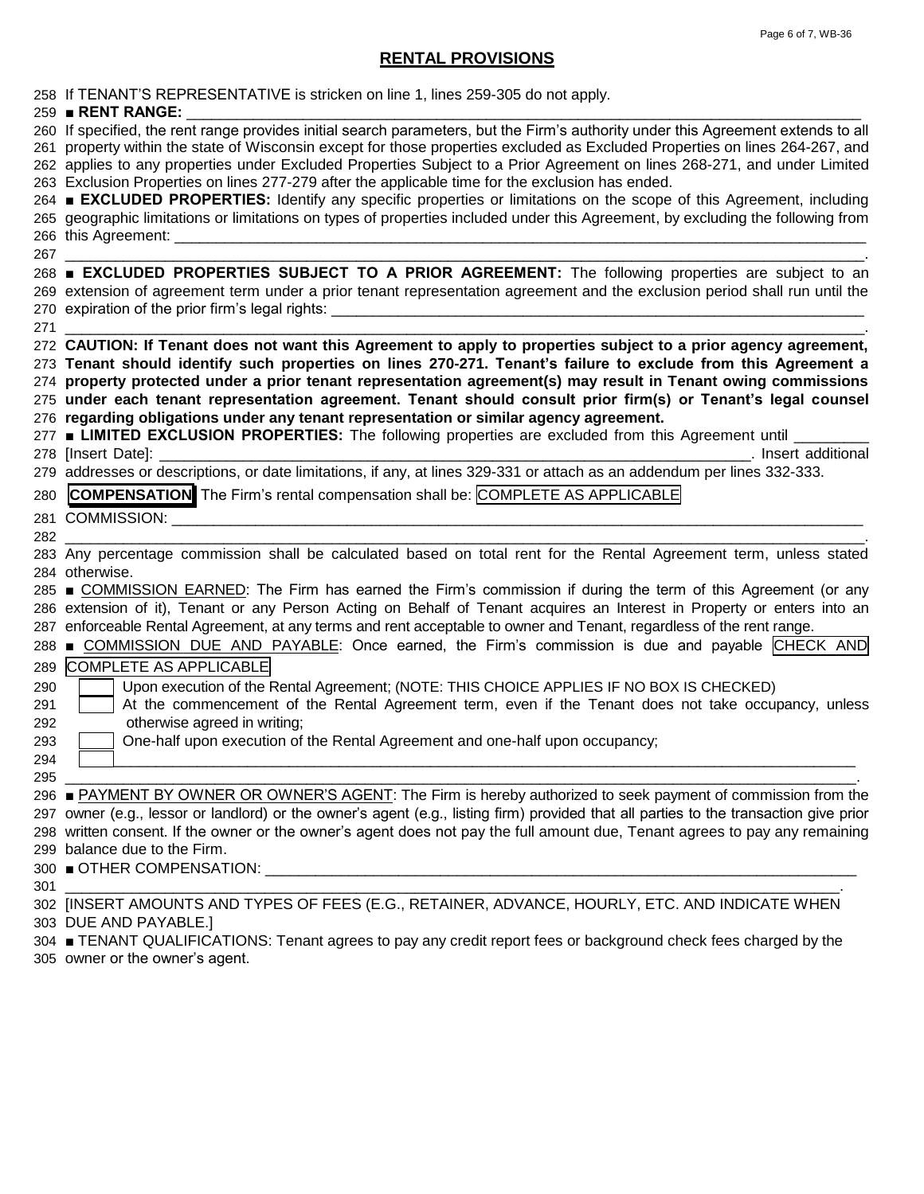# **RENTAL PROVISIONS**

|     | 258 If TENANT'S REPRESENTATIVE is stricken on line 1, lines 259-305 do not apply.<br>259 RENT RANGE:                                                                                                                                                                                                                                                                                                                                                                                              |
|-----|---------------------------------------------------------------------------------------------------------------------------------------------------------------------------------------------------------------------------------------------------------------------------------------------------------------------------------------------------------------------------------------------------------------------------------------------------------------------------------------------------|
|     | 260 If specified, the rent range provides initial search parameters, but the Firm's authority under this Agreement extends to all<br>261 property within the state of Wisconsin except for those properties excluded as Excluded Properties on lines 264-267, and<br>262 applies to any properties under Excluded Properties Subject to a Prior Agreement on lines 268-271, and under Limited<br>263 Exclusion Properties on lines 277-279 after the applicable time for the exclusion has ended. |
|     | 264 ■ EXCLUDED PROPERTIES: Identify any specific properties or limitations on the scope of this Agreement, including<br>265 geographic limitations or limitations on types of properties included under this Agreement, by excluding the following from                                                                                                                                                                                                                                           |
| 267 |                                                                                                                                                                                                                                                                                                                                                                                                                                                                                                   |
|     | 268 EXCLUDED PROPERTIES SUBJECT TO A PRIOR AGREEMENT: The following properties are subject to an<br>269 extension of agreement term under a prior tenant representation agreement and the exclusion period shall run until the                                                                                                                                                                                                                                                                    |
|     | 271 — 271                                                                                                                                                                                                                                                                                                                                                                                                                                                                                         |
|     | 272 CAUTION: If Tenant does not want this Agreement to apply to properties subject to a prior agency agreement,                                                                                                                                                                                                                                                                                                                                                                                   |
|     | 273 Tenant should identify such properties on lines 270-271. Tenant's failure to exclude from this Agreement a                                                                                                                                                                                                                                                                                                                                                                                    |
|     | 274 property protected under a prior tenant representation agreement(s) may result in Tenant owing commissions                                                                                                                                                                                                                                                                                                                                                                                    |
|     | 275 under each tenant representation agreement. Tenant should consult prior firm(s) or Tenant's legal counsel                                                                                                                                                                                                                                                                                                                                                                                     |
|     | 276 regarding obligations under any tenant representation or similar agency agreement.                                                                                                                                                                                                                                                                                                                                                                                                            |
|     | 277 LIMITED EXCLUSION PROPERTIES: The following properties are excluded from this Agreement until ______                                                                                                                                                                                                                                                                                                                                                                                          |
|     | 278 [Insert Date]: _<br>designed and the contract of the contract of the contract of the contract of the contract of the contract of the contract of the contract of the contract of the contract of the contract of the contract of the contract of t<br>279 addresses or descriptions, or date limitations, if any, at lines 329-331 or attach as an addendum per lines 332-333.                                                                                                                |
|     |                                                                                                                                                                                                                                                                                                                                                                                                                                                                                                   |
| 280 | <b>COMPENSATION</b> The Firm's rental compensation shall be: COMPLETE AS APPLICABLE                                                                                                                                                                                                                                                                                                                                                                                                               |
|     | 281 COMMISSION: WELL ARE AN ARREST AND THE STATE OF THE STATE OF THE STATE OF THE STATE OF THE STATE OF THE ST                                                                                                                                                                                                                                                                                                                                                                                    |
| 282 |                                                                                                                                                                                                                                                                                                                                                                                                                                                                                                   |
|     | 283 Any percentage commission shall be calculated based on total rent for the Rental Agreement term, unless stated                                                                                                                                                                                                                                                                                                                                                                                |
|     | 284 otherwise.<br>285 <b>■ COMMISSION EARNED:</b> The Firm has earned the Firm's commission if during the term of this Agreement (or any                                                                                                                                                                                                                                                                                                                                                          |
|     | 286 extension of it), Tenant or any Person Acting on Behalf of Tenant acquires an Interest in Property or enters into an                                                                                                                                                                                                                                                                                                                                                                          |
|     | 287 enforceable Rental Agreement, at any terms and rent acceptable to owner and Tenant, regardless of the rent range.                                                                                                                                                                                                                                                                                                                                                                             |
|     | 288 ■ COMMISSION DUE AND PAYABLE: Once earned, the Firm's commission is due and payable CHECK AND                                                                                                                                                                                                                                                                                                                                                                                                 |
| 289 | <b>COMPLETE AS APPLICABLE</b>                                                                                                                                                                                                                                                                                                                                                                                                                                                                     |
| 290 | Upon execution of the Rental Agreement; (NOTE: THIS CHOICE APPLIES IF NO BOX IS CHECKED)                                                                                                                                                                                                                                                                                                                                                                                                          |
| 291 | At the commencement of the Rental Agreement term, even if the Tenant does not take occupancy, unless                                                                                                                                                                                                                                                                                                                                                                                              |
| 292 | otherwise agreed in writing;                                                                                                                                                                                                                                                                                                                                                                                                                                                                      |
| 293 | One-half upon execution of the Rental Agreement and one-half upon occupancy;                                                                                                                                                                                                                                                                                                                                                                                                                      |
| 294 |                                                                                                                                                                                                                                                                                                                                                                                                                                                                                                   |
| 295 |                                                                                                                                                                                                                                                                                                                                                                                                                                                                                                   |
|     | 296 ■ PAYMENT BY OWNER OR OWNER'S AGENT: The Firm is hereby authorized to seek payment of commission from the                                                                                                                                                                                                                                                                                                                                                                                     |
|     | 297 owner (e.g., lessor or landlord) or the owner's agent (e.g., listing firm) provided that all parties to the transaction give prior                                                                                                                                                                                                                                                                                                                                                            |
|     | 298 written consent. If the owner or the owner's agent does not pay the full amount due, Tenant agrees to pay any remaining                                                                                                                                                                                                                                                                                                                                                                       |
|     | 299 balance due to the Firm.                                                                                                                                                                                                                                                                                                                                                                                                                                                                      |
|     |                                                                                                                                                                                                                                                                                                                                                                                                                                                                                                   |
| 301 | 302 [INSERT AMOUNTS AND TYPES OF FEES (E.G., RETAINER, ADVANCE, HOURLY, ETC. AND INDICATE WHEN                                                                                                                                                                                                                                                                                                                                                                                                    |
|     | 303 DUE AND PAYABLE.]                                                                                                                                                                                                                                                                                                                                                                                                                                                                             |
|     | 304 ■ TENANT QUALIFICATIONS: Tenant agrees to pay any credit report fees or background check fees charged by the                                                                                                                                                                                                                                                                                                                                                                                  |
|     | 305 owner or the owner's agent.                                                                                                                                                                                                                                                                                                                                                                                                                                                                   |